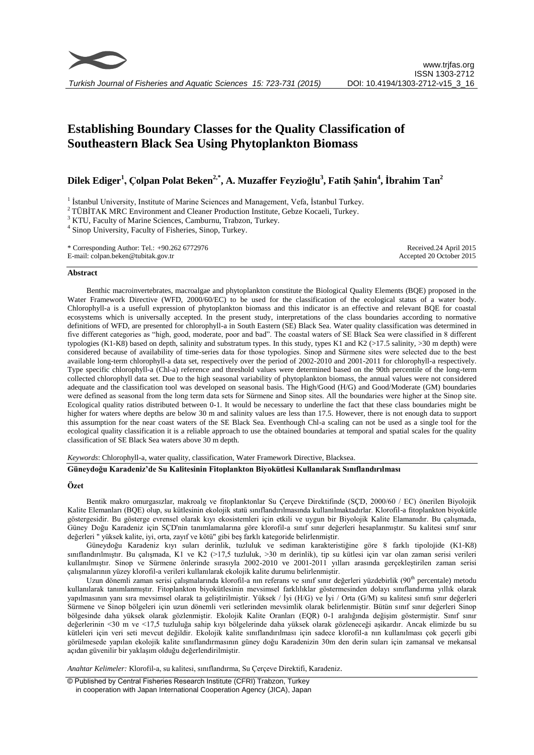

# **Establishing Boundary Classes for the Quality Classification of Southeastern Black Sea Using Phytoplankton Biomass**

**Dilek Ediger<sup>1</sup> , Çolpan Polat Beken2,\* , A. Muzaffer Feyzioğlu<sup>3</sup> , Fatih Şahin<sup>4</sup> , İbrahim Tan<sup>2</sup>**

<sup>1</sup> İstanbul University, Institute of Marine Sciences and Management, Vefa, İstanbul Turkey.

<sup>2</sup> TÜBİTAK MRC Environment and Cleaner Production Institute, Gebze Kocaeli, Turkey.

<sup>3</sup> KTU, Faculty of Marine Sciences, Camburnu, Trabzon, Turkey.

4 Sinop University, Faculty of Fisheries, Sinop, Turkey.

\* Corresponding Author: Tel.: +90.262 6772976 E-mail: colpan.beken@tubitak.gov.tr Received.24 April 2015 Accepted 20 October 2015

#### **Abstract**

Benthic macroinvertebrates, macroalgae and phytoplankton constitute the Biological Quality Elements (BQE) proposed in the Water Framework Directive (WFD, 2000/60/EC) to be used for the classification of the ecological status of a water body. Chlorophyll-a is a usefull expression of phytoplankton biomass and this indicator is an effective and relevant BQE for coastal ecosystems which is universally accepted. In the present study, interpretations of the class boundaries according to normative definitions of WFD, are presented for chlorophyll-a in South Eastern (SE) Black Sea. Water quality classification was determined in five different categories as "high, good, moderate, poor and bad". The coastal waters of SE Black Sea were classified in 8 different typologies (K1-K8) based on depth, salinity and substratum types. In this study, types K1 and K2 (>17.5 salinity, >30 m depth) were considered because of availability of time-series data for those typologies. Sinop and Sürmene sites were selected due to the best available long-term chlorophyll-a data set, respectively over the period of 2002-2010 and 2001-2011 for chlorophyll-a respectively. Type specific chlorophyll-a (Chl-a) reference and threshold values were determined based on the 90th percentile of the long-term collected chlorophyll data set. Due to the high seasonal variability of phytoplankton biomass, the annual values were not considered adequate and the classification tool was developed on seasonal basis. The High/Good (H/G) and Good/Moderate (GM) boundaries were defined as seasonal from the long term data sets for Sürmene and Sinop sites. All the boundaries were higher at the Sinop site. Ecological quality ratios distributed between 0-1. It would be necessary to underline the fact that these class boundaries might be higher for waters where depths are below 30 m and salinity values are less than 17.5. However, there is not enough data to support this assumption for the near coast waters of the SE Black Sea. Eventhough Chl-a scaling can not be used as a single tool for the ecological quality classification it is a reliable approach to use the obtained boundaries at temporal and spatial scales for the quality classification of SE Black Sea waters above 30 m depth.

*Keywords*: Chlorophyll-a, water quality, classification, Water Framework Directive, Blacksea.

**Güneydoğu Karadeniz'de Su Kalitesinin Fitoplankton Biyokütlesi Kullanılarak Sınıflandırılması**

## **Özet**

Bentik makro omurgasızlar, makroalg ve fitoplanktonlar Su Çerçeve Direktifinde (SÇD, 2000/60 / EC) önerilen Biyolojik Kalite Elemanları (BQE) olup, su kütlesinin ekolojik statü sınıflandırılmasında kullanılmaktadırlar. Klorofil-a fitoplankton biyokütle göstergesidir. Bu gösterge evrensel olarak kıyı ekosistemleri için etkili ve uygun bir Biyolojik Kalite Elamanıdır. Bu çalışmada, Güney Doğu Karadeniz için SÇD'nin tanımlamalarına göre klorofil-a sınıf sınır değerleri hesaplanmıştır. Su kalitesi sınıf sınır değerleri " yüksek kalite, iyi, orta, zayıf ve kötü" gibi beş farklı kategoride belirlenmiştir.

Güneydoğu Karadeniz kıyı suları derinlik, tuzluluk ve sediman karakteristiğine göre 8 farklı tipolojide (K1-K8) sınıflandırılmıştır. Bu çalışmada, K1 ve K2 (>17,5 tuzluluk, >30 m derinlik), tip su kütlesi için var olan zaman serisi verileri kullanılmıştır. Sinop ve Sürmene önlerinde sırasıyla 2002-2010 ve 2001-2011 yılları arasında gerçekleştirilen zaman serisi çalışmalarının yüzey klorofil-a verileri kullanılarak ekolojik kalite durumu belirlenmiştir.

Uzun dönemli zaman serisi çalışmalarında klorofil-a nın referans ve sınıf sınır değerleri yüzdebirlik (90<sup>th</sup> percentale) metodu kullanılarak tanımlanmıştır. Fitoplankton biyokütlesinin mevsimsel farklılıklar göstermesinden dolayı sınıflandırma yıllık olarak yapılmasının yanı sıra mevsimsel olarak ta geliştirilmiştir. Yüksek / İyi (H/G) ve İyi / Orta (G/M) su kalitesi sınıfı sınır değerleri Sürmene ve Sinop bölgeleri için uzun dönemli veri setlerinden mevsimlik olarak belirlenmiştir. Bütün sınıf sınır değerleri Sinop bölgesinde daha yüksek olarak gözlenmiştir. Ekolojik Kalite Oranları (EQR) 0-1 aralığında değişim göstermiştir. Sınıf sınır değerlerinin <30 m ve <17,5 tuzluluğa sahip kıyı bölgelerinde daha yüksek olarak gözleneceği aşikardır. Ancak elimizde bu su kütleleri için veri seti mevcut değildir. Ekolojik kalite sınıflandırılması için sadece klorofil-a nın kullanılması çok geçerli gibi görülmesede yapılan ekolojik kalite sınıflandırmasının güney doğu Karadenizin 30m den derin suları için zamansal ve mekansal açıdan güvenilir bir yaklaşım olduğu değerlendirilmiştir.

*Anahtar Kelimeler:* Klorofil-a, su kalitesi, sınıflandırma, Su Çerçeve Direktifi, Karadeniz.

© Published by Central Fisheries Research Institute (CFRI) Trabzon, Turkey in cooperation with Japan International Cooperation Agency (JICA), Japan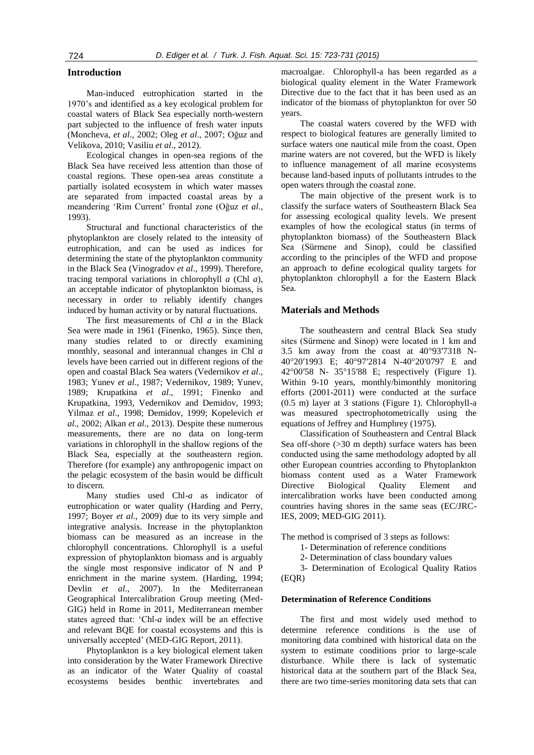# **Introduction**

Man-induced eutrophication started in the 1970"s and identified as a key ecological problem for coastal waters of Black Sea especially north-western part subjected to the influence of fresh water inputs (Moncheva, *et al*., 2002; Oleg *et al*., 2007; Oğuz and Velikova, 2010; Vasiliu *et al*., 2012).

Ecological changes in open-sea regions of the Black Sea have received less attention than those of coastal regions. These open-sea areas constitute a partially isolated ecosystem in which water masses are separated from impacted coastal areas by a meandering "Rim Current" frontal zone (Oğuz *et al*., 1993).

Structural and functional characteristics of the phytoplankton are closely related to the intensity of eutrophication, and can be used as indices for determining the state of the phytoplankton community in the Black Sea (Vinogradov *et al*., 1999). Therefore, tracing temporal variations in chlorophyll *a* (Chl *a*), an acceptable indicator of phytoplankton biomass, is necessary in order to reliably identify changes induced by human activity or by natural fluctuations.

The first measurements of Chl *a* in the Black Sea were made in 1961 (Finenko, 1965). Since then, many studies related to or directly examining monthly, seasonal and interannual changes in Chl *a*  levels have been carried out in different regions of the open and coastal Black Sea waters (Vedernikov *et al*., 1983; Yunev *et al*., 1987; Vedernikov, 1989; Yunev, 1989; Krupatkina *et al*., 1991; Finenko and Krupatkina, 1993, Vedernikov and Demidov, 1993; Yilmaz *et al*., 1998; Demidov, 1999; Kopelevich *et al*., 2002; Alkan *et al*., 2013). Despite these numerous measurements, there are no data on long-term variations in chlorophyll in the shallow regions of the Black Sea, especially at the southeastern region. Therefore (for example) any anthropogenic impact on the pelagic ecosystem of the basin would be difficult to discern.

Many studies used Chl-*a* as indicator of eutrophication or water quality (Harding and Perry, 1997; Boyer *et al*., 2009) due to its very simple and integrative analysis. Increase in the phytoplankton biomass can be measured as an increase in the chlorophyll concentrations. Chlorophyll is a useful expression of phytoplankton biomass and is arguably the single most responsive indicator of N and P enrichment in the marine system. (Harding, 1994; Devlin *et al*., 2007). In the Mediterranean Geographical Intercalibration Group meeting (Med-GIG) held in Rome in 2011, Mediterranean member states agreed that: "Chl-*a* index will be an effective and relevant BQE for coastal ecosystems and this is universally accepted" (MED-GIG Report, 2011).

Phytoplankton is a key biological element taken into consideration by the Water Framework Directive as an indicator of the Water Quality of coastal ecosystems besides benthic invertebrates and

macroalgae. Chlorophyll-a has been regarded as a biological quality element in the Water Framework Directive due to the fact that it has been used as an indicator of the biomass of phytoplankton for over 50 years.

The coastal waters covered by the WFD with respect to biological features are generally limited to surface waters one nautical mile from the coast. Open marine waters are not covered, but the WFD is likely to influence management of all marine ecosystems because land-based inputs of pollutants intrudes to the open waters through the coastal zone.

The main objective of the present work is to classify the surface waters of Southeastern Black Sea for assessing ecological quality levels. We present examples of how the ecological status (in terms of phytoplankton biomass) of the Southeastern Black Sea (Sürmene and Sinop), could be classified according to the principles of the WFD and propose an approach to define ecological quality targets for phytoplankton chlorophyll a for the Eastern Black Sea.

# **Materials and Methods**

The southeastern and central Black Sea study sites (Sürmene and Sinop) were located in 1 km and 3.5 km away from the coast at 40°93′7318 N-40°20′1993 E; 40°97′2814 N-40°20′0797 E and 42°00′58 N- 35°15′88 E; respectively (Figure 1). Within 9-10 years, monthly/bimonthly monitoring efforts (2001-2011) were conducted at the surface (0.5 m) layer at 3 stations (Figure 1). Chlorophyll-a was measured spectrophotometrically using the equations of Jeffrey and Humphrey (1975).

Classification of Southeastern and Central Black Sea off-shore (>30 m depth) surface waters has been conducted using the same methodology adopted by all other European countries according to Phytoplankton biomass content used as a Water Framework Directive Biological Quality Element and intercalibration works have been conducted among countries having shores in the same seas (EC/JRC-IES, 2009; MED-GIG 2011).

The method is comprised of 3 steps as follows:

1- Determination of reference conditions

2- Determination of class boundary values

3- Determination of Ecological Quality Ratios (EQR)

#### **Determination of Reference Conditions**

The first and most widely used method to determine reference conditions is the use of monitoring data combined with historical data on the system to estimate conditions prior to large-scale disturbance. While there is lack of systematic historical data at the southern part of the Black Sea, there are two time-series monitoring data sets that can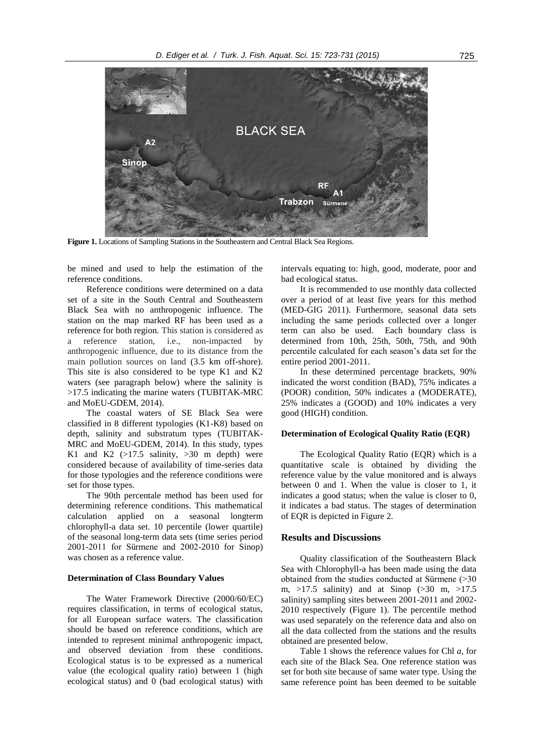

**Figure 1.** Locations of Sampling Stations in the Southeastern and Central Black Sea Regions.

be mined and used to help the estimation of the reference conditions.

Reference conditions were determined on a data set of a site in the South Central and Southeastern Black Sea with no anthropogenic influence. The station on the map marked RF has been used as a reference for both region. This station is considered as a reference station, i.e., non-impacted by anthropogenic influence, due to its distance from the main pollution sources on land (3.5 km off-shore). This site is also considered to be type K1 and K2 waters (see paragraph below) where the salinity is >17.5 indicating the marine waters (TUBITAK-MRC and MoEU-GDEM, 2014).

The coastal waters of SE Black Sea were classified in 8 different typologies (K1-K8) based on depth, salinity and substratum types (TUBITAK-MRC and MoEU-GDEM, 2014). In this study, types K1 and K2  $(>17.5 \text{ salinity}, >30 \text{ m depth})$  were considered because of availability of time-series data for those typologies and the reference conditions were set for those types.

The 90th percentale method has been used for determining reference conditions. This mathematical calculation applied on a seasonal longterm chlorophyll-a data set. 10 percentile (lower quartile) of the seasonal long-term data sets (time series period 2001-2011 for Sürmene and 2002-2010 for Sinop) was chosen as a reference value.

#### **Determination of Class Boundary Values**

The Water Framework Directive (2000/60/EC) requires classification, in terms of ecological status, for all European surface waters. The classification should be based on reference conditions, which are intended to represent minimal anthropogenic impact, and observed deviation from these conditions. Ecological status is to be expressed as a numerical value (the ecological quality ratio) between 1 (high ecological status) and 0 (bad ecological status) with intervals equating to: high, good, moderate, poor and bad ecological status.

It is recommended to use monthly data collected over a period of at least five years for this method (MED-GIG 2011). Furthermore, seasonal data sets including the same periods collected over a longer term can also be used. Each boundary class is determined from 10th, 25th, 50th, 75th, and 90th percentile calculated for each season"s data set for the entire period 2001-2011.

In these determined percentage brackets, 90% indicated the worst condition (BAD), 75% indicates a (POOR) condition, 50% indicates a (MODERATE), 25% indicates a (GOOD) and 10% indicates a very good (HIGH) condition.

#### **Determination of Ecological Quality Ratio (EQR)**

The Ecological Quality Ratio (EQR) which is a quantitative scale is obtained by dividing the reference value by the value monitored and is always between 0 and 1. When the value is closer to 1, it indicates a good status; when the value is closer to 0, it indicates a bad status. The stages of determination of EQR is depicted in Figure 2.

## **Results and Discussions**

Quality classification of the Southeastern Black Sea with Chlorophyll-a has been made using the data obtained from the studies conducted at Sürmene (>30 m,  $>17.5$  salinity) and at Sinop ( $>30$  m,  $>17.5$ salinity) sampling sites between 2001-2011 and 2002- 2010 respectively (Figure 1). The percentile method was used separately on the reference data and also on all the data collected from the stations and the results obtained are presented below.

Table 1 shows the reference values for Chl *a*, for each site of the Black Sea. One reference station was set for both site because of same water type. Using the same reference point has been deemed to be suitable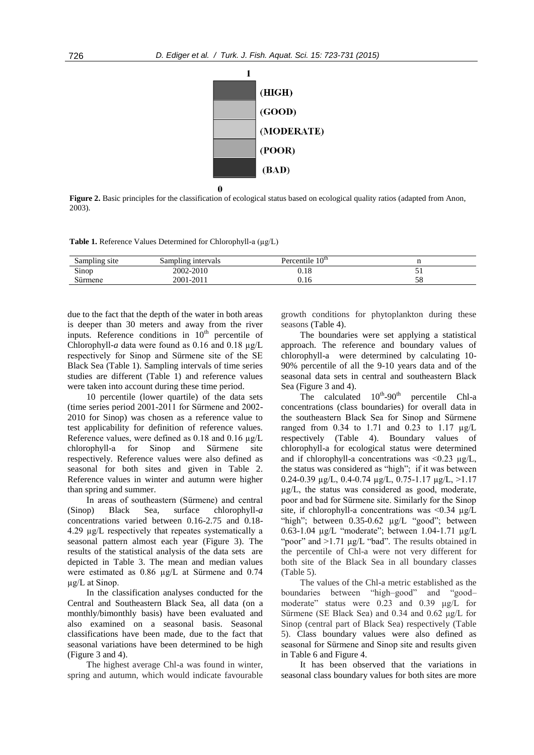

**Figure 2.** Basic principles for the classification of ecological status based on ecological quality ratios (adapted from Anon, 2003).

**Table 1.** Reference Values Determined for Chlorophyll-a (µg/L)

| Sampling site | Sampling intervals | Percentile 10 <sup>th</sup> |    |
|---------------|--------------------|-----------------------------|----|
| Sinop         | 2002-2010          | 0.18                        | ◡  |
| Sürmene       | 2001-2011          | V.16                        | 58 |

due to the fact that the depth of the water in both areas is deeper than 30 meters and away from the river inputs. Reference conditions in  $10<sup>th</sup>$  percentile of Chlorophyll- $a$  data were found as 0.16 and 0.18  $\mu$ g/L respectively for Sinop and Sürmene site of the SE Black Sea (Table 1). Sampling intervals of time series studies are different (Table 1) and reference values were taken into account during these time period.

10 percentile (lower quartile) of the data sets (time series period 2001-2011 for Sürmene and 2002- 2010 for Sinop) was chosen as a reference value to test applicability for definition of reference values. Reference values, were defined as 0.18 and 0.16 µg/L chlorophyll-a for Sinop and Sürmene site respectively. Reference values were also defined as seasonal for both sites and given in Table 2. Reference values in winter and autumn were higher than spring and summer.

In areas of southeastern (Sürmene) and central (Sinop) Black Sea, surface chlorophyll-*a*  concentrations varied between 0.16-2.75 and 0.18- 4.29 µg/L respectively that repeates systematically a seasonal pattern almost each year (Figure 3). The results of the statistical analysis of the data sets are depicted in Table 3. The mean and median values were estimated as 0.86 µg/L at Sürmene and 0.74 µg/L at Sinop.

In the classification analyses conducted for the Central and Southeastern Black Sea, all data (on a monthly/bimonthly basis) have been evaluated and also examined on a seasonal basis. Seasonal classifications have been made, due to the fact that seasonal variations have been determined to be high (Figure 3 and 4).

The highest average Chl-a was found in winter, spring and autumn, which would indicate favourable growth conditions for phytoplankton during these seasons (Table 4).

The boundaries were set applying a statistical approach. The reference and boundary values of chlorophyll-a were determined by calculating 10- 90% percentile of all the 9-10 years data and of the seasonal data sets in central and southeastern Black Sea (Figure 3 and 4).

The calculated  $10^{th}$ -90<sup>th</sup> percentile Chl-a concentrations (class boundaries) for overall data in the southeastern Black Sea for Sinop and Sürmene ranged from  $0.34$  to  $1.71$  and  $0.23$  to  $1.17 \mu g/L$ respectively (Table 4). Boundary values of chlorophyll-a for ecological status were determined and if chlorophyll-a concentrations was  $\leq 0.23$  µg/L, the status was considered as "high"; if it was between 0.24-0.39  $\mu$ g/L, 0.4-0.74  $\mu$ g/L, 0.75-1.17  $\mu$ g/L, >1.17 µg/L, the status was considered as good, moderate, poor and bad for Sürmene site. Similarly for the Sinop site, if chlorophyll-a concentrations was  $\leq 0.34$  µg/L "high"; between 0.35-0.62 µg/L "good"; between 0.63-1.04 µg/L "moderate"; between 1.04-1.71 µg/L "poor" and  $>1.71$   $\mu$ g/L "bad". The results obtained in the percentile of Chl-a were not very different for both site of the Black Sea in all boundary classes (Table 5).

The values of the Chl-a metric established as the boundaries between "high–good" and "good– moderate" status were 0.23 and 0.39 μg/L for Sürmene (SE Black Sea) and 0.34 and 0.62 μg/L for Sinop (central part of Black Sea) respectively (Table 5). Class boundary values were also defined as seasonal for Sürmene and Sinop site and results given in Table 6 and Figure 4.

It has been observed that the variations in seasonal class boundary values for both sites are more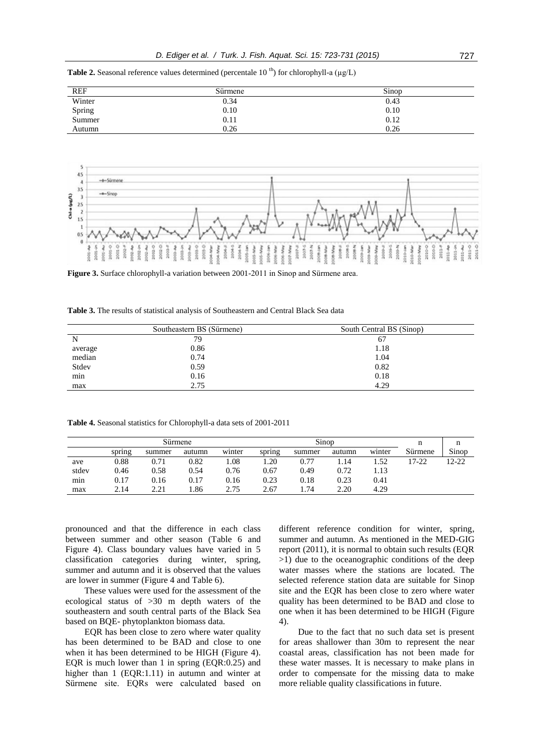| <b>REF</b> | Sürmene | Sinop |
|------------|---------|-------|
| Winter     | 0.34    | 0.43  |
| Spring     | 0.10    | 0.10  |
| Summer     | 0.11    | 0.12  |
| Autumn     | 0.26    | 0.26  |



**Figure 3.** Surface chlorophyll-a variation between 2001-2011 in Sinop and Sürmene area.

**Table 2.** Seasonal reference values determined (percentale 10<sup>th</sup>) for chlorophyll-a ( $\mu$ g/L)

**Table 3.** The results of statistical analysis of Southeastern and Central Black Sea data

|         | Southeastern BS (Sürmene) | South Central BS (Sinop) |
|---------|---------------------------|--------------------------|
| N       | 79                        | 67                       |
| average | 0.86                      | 1.18                     |
| median  | 0.74                      | 1.04                     |
| Stdev   | 0.59                      | 0.82                     |
| min     | 0.16                      | 0.18                     |
| max     | 2.75                      | 4.29                     |

**Table 4.** Seasonal statistics for Chlorophyll-a data sets of 2001-2011

|       | Sürmene |          |        |        |        | Sinop  |        |        |         | n     |
|-------|---------|----------|--------|--------|--------|--------|--------|--------|---------|-------|
|       | spring  | summer   | autumn | winter | spring | summer | autumn | winter | Sürmene | Sinop |
| ave   | 0.88    | $0.71\,$ | 0.82   | .08    | .20    | 0.77   | l.14   | 1.52   | 17-22   | 12-22 |
| stdev | 0.46    | 0.58     | 0.54   | 0.76   | 0.67   | 0.49   | 0.72   | 1.13   |         |       |
| min   | 0.17    | 0.16     | 0.17   | 0.16   | 0.23   | 0.18   | 0.23   | 0.41   |         |       |
| max   | 2.14    | 2.21     | .86    | 2.75   | 2.67   | . . 74 | 2.20   | 4.29   |         |       |

pronounced and that the difference in each class between summer and other season (Table 6 and Figure 4). Class boundary values have varied in 5 classification categories during winter, spring, summer and autumn and it is observed that the values are lower in summer (Figure 4 and Table 6).

These values were used for the assessment of the ecological status of >30 m depth waters of the southeastern and south central parts of the Black Sea based on BQE- phytoplankton biomass data.

EQR has been close to zero where water quality has been determined to be BAD and close to one when it has been determined to be HIGH (Figure 4). EQR is much lower than 1 in spring (EQR:0.25) and higher than 1 (EQR:1.11) in autumn and winter at Sürmene site. EQRs were calculated based on different reference condition for winter, spring, summer and autumn. As mentioned in the MED-GIG report (2011), it is normal to obtain such results (EQR >1) due to the oceanographic conditions of the deep water masses where the stations are located. The selected reference station data are suitable for Sinop site and the EQR has been close to zero where water quality has been determined to be BAD and close to one when it has been determined to be HIGH (Figure 4).

Due to the fact that no such data set is present for areas shallower than 30m to represent the near coastal areas, classification has not been made for these water masses. It is necessary to make plans in order to compensate for the missing data to make more reliable quality classifications in future.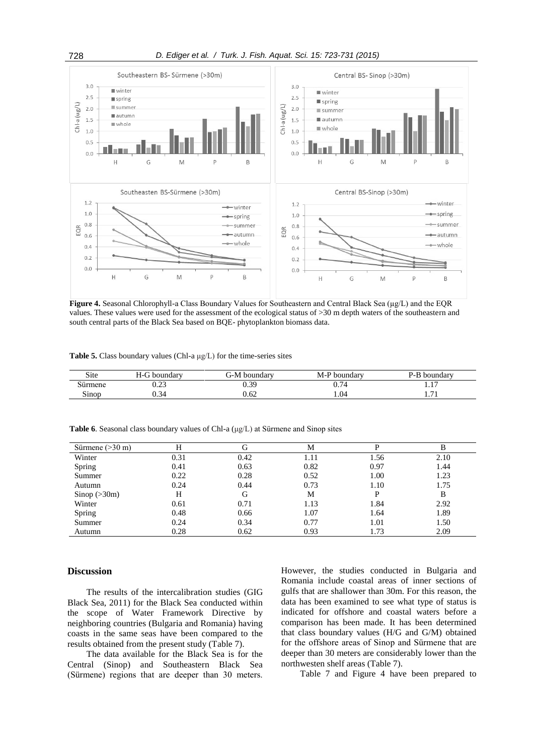

**Figure 4.** Seasonal Chlorophyll-a Class Boundary Values for Southeastern and Central Black Sea (µg/L) and the EQR values. These values were used for the assessment of the ecological status of >30 m depth waters of the southeastern and south central parts of the Black Sea based on BQE- phytoplankton biomass data.

**Table 5.** Class boundary values (Chl-a μg/L) for the time-series sites

| Site                  | $\sim$ 1<br>boundary | <b>Af1</b><br><b>boundary</b><br>Ť−M | $M-P$<br>boundary | , boundarv<br>'- F            |
|-----------------------|----------------------|--------------------------------------|-------------------|-------------------------------|
| ₹<br>sürmene          | $\sim$<br>∪.∠J       | ገ 30<br>U.JJ                         | 0.74              | 1 <sub>7</sub><br>1.11        |
| $\sim \cdot$<br>Sinop | 0.34                 | 0.62                                 | 1.04              | $\overline{\phantom{0}}$<br>. |

**Table 6**. Seasonal class boundary values of Chl-a (μg/L) at Sürmene and Sinop sites

| Sürmene $(>30 \text{ m})$ | Н    | G    | Μ    |      | В    |
|---------------------------|------|------|------|------|------|
| Winter                    | 0.31 | 0.42 | 1.11 | 1.56 | 2.10 |
| Spring                    | 0.41 | 0.63 | 0.82 | 0.97 | 1.44 |
| Summer                    | 0.22 | 0.28 | 0.52 | 1.00 | 1.23 |
| Autumn                    | 0.24 | 0.44 | 0.73 | 1.10 | 1.75 |
| Sinop $(>30m)$            | Н    | G    | М    | P    | B    |
| Winter                    | 0.61 | 0.71 | 1.13 | 1.84 | 2.92 |
| Spring                    | 0.48 | 0.66 | 1.07 | 1.64 | 1.89 |
| Summer                    | 0.24 | 0.34 | 0.77 | 1.01 | 1.50 |
| Autumn                    | 0.28 | 0.62 | 0.93 | 1.73 | 2.09 |

# **Discussion**

The results of the intercalibration studies (GIG Black Sea, 2011) for the Black Sea conducted within the scope of Water Framework Directive by neighboring countries (Bulgaria and Romania) having coasts in the same seas have been compared to the results obtained from the present study (Table 7).

The data available for the Black Sea is for the Central (Sinop) and Southeastern Black Sea (Sürmene) regions that are deeper than 30 meters.

However, the studies conducted in Bulgaria and Romania include coastal areas of inner sections of gulfs that are shallower than 30m. For this reason, the data has been examined to see what type of status is indicated for offshore and coastal waters before a comparison has been made. It has been determined that class boundary values (H/G and G/M) obtained for the offshore areas of Sinop and Sürmene that are deeper than 30 meters are considerably lower than the northwesten shelf areas (Table 7).

Table 7 and Figure 4 have been prepared to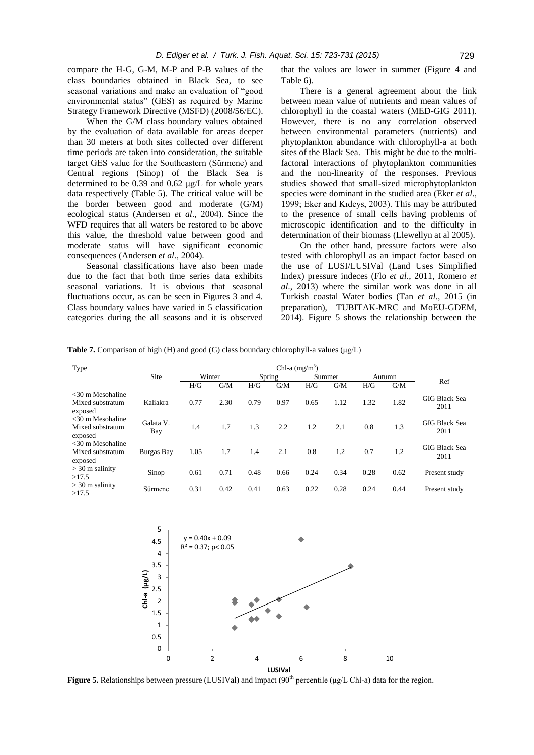compare the H-G, G-M, M-P and P-B values of the class boundaries obtained in Black Sea, to see seasonal variations and make an evaluation of "good environmental status" (GES) as required by Marine Strategy Framework Directive (MSFD) (2008/56/EC).

When the G/M class boundary values obtained by the evaluation of data available for areas deeper than 30 meters at both sites collected over different time periods are taken into consideration, the suitable target GES value for the Southeastern (Sürmene) and Central regions (Sinop) of the Black Sea is determined to be 0.39 and 0.62 μg/L for whole years data respectively (Table 5). The critical value will be the border between good and moderate (G/M) ecological status (Andersen *et al*., 2004). Since the WFD requires that all waters be restored to be above this value, the threshold value between good and moderate status will have significant economic consequences (Andersen *et al*., 2004).

Seasonal classifications have also been made due to the fact that both time series data exhibits seasonal variations. It is obvious that seasonal fluctuations occur, as can be seen in Figures 3 and 4. Class boundary values have varied in 5 classification categories during the all seasons and it is observed that the values are lower in summer (Figure 4 and Table 6).

There is a general agreement about the link between mean value of nutrients and mean values of chlorophyll in the coastal waters (MED-GIG 2011). However, there is no any correlation observed between environmental parameters (nutrients) and phytoplankton abundance with chlorophyll-a at both sites of the Black Sea. This might be due to the multifactoral interactions of phytoplankton communities and the non-linearity of the responses. Previous studies showed that small-sized microphytoplankton species were dominant in the studied area (Eker *et al*., 1999; Eker and Kıdeys, 2003). This may be attributed to the presence of small cells having problems of microscopic identification and to the difficulty in determination of their biomass (Llewellyn at al 2005).

On the other hand, pressure factors were also tested with chlorophyll as an impact factor based on the use of LUSI/LUSIVal (Land Uses Simplified Index) pressure indeces (Flo *et al*., 2011, Romero *et al*., 2013) where the similar work was done in all Turkish coastal Water bodies (Tan *et al*., 2015 (in preparation), TUBITAK-MRC and MoEU-GDEM, 2014). Figure 5 shows the relationship between the

**Table 7.** Comparison of high (H) and good (G) class boundary chlorophyll-a values (μg/L)

| Type                                               |                   | Chl-a $(mg/m^3)$ |      |        |      |        |      |        |      |                              |
|----------------------------------------------------|-------------------|------------------|------|--------|------|--------|------|--------|------|------------------------------|
|                                                    | Site              | Winter           |      | Spring |      | Summer |      | Autumn |      | Ref                          |
|                                                    |                   | H/G              | G/M  | H/G    | G/M  | H/G    | G/M  | H/G    | G/M  |                              |
| $<$ 30 m Mesohaline<br>Mixed substratum            | Kaliakra          | 0.77             | 2.30 | 0.79   | 0.97 | 0.65   | 1.12 | 1.32   | 1.82 | <b>GIG Black Sea</b><br>2011 |
| exposed<br>$<$ 30 m Mesohaline                     |                   |                  |      |        |      |        |      |        |      |                              |
| Mixed substratum<br>exposed                        | Galata V.<br>Bay  | 1.4              | 1.7  | 1.3    | 2.2  | 1.2    | 2.1  | 0.8    | 1.3  | <b>GIG Black Sea</b><br>2011 |
| $<$ 30 m Mesohaline<br>Mixed substratum<br>exposed | <b>Burgas Bay</b> | 1.05             | 1.7  | 1.4    | 2.1  | 0.8    | 1.2  | 0.7    | 1.2  | <b>GIG Black Sea</b><br>2011 |
| $>$ 30 m salinity<br>>17.5                         | Sinop             | 0.61             | 0.71 | 0.48   | 0.66 | 0.24   | 0.34 | 0.28   | 0.62 | Present study                |
| $>$ 30 m salinity<br>>17.5                         | Sürmene           | 0.31             | 0.42 | 0.41   | 0.63 | 0.22   | 0.28 | 0.24   | 0.44 | Present study                |



**Figure 5.** Relationships between pressure (LUSIVal) and impact  $(90<sup>th</sup>$  percentile ( $\mu g/L$  Chl-a) data for the region.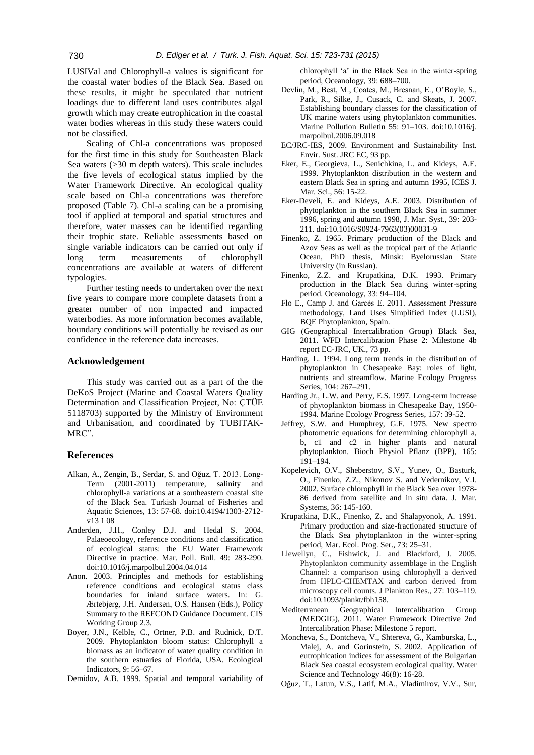LUSIVal and Chlorophyll-a values is significant for the coastal water bodies of the Black Sea. Based on these results, it might be speculated that nutrient loadings due to different land uses contributes algal growth which may create eutrophication in the coastal water bodies whereas in this study these waters could not be classified.

Scaling of Chl-a concentrations was proposed for the first time in this study for Southeasten Black Sea waters (>30 m depth waters). This scale includes the five levels of ecological status implied by the Water Framework Directive. An ecological quality scale based on Chl-a concentrations was therefore proposed (Table 7). Chl-a scaling can be a promising tool if applied at temporal and spatial structures and therefore, water masses can be identified regarding their trophic state. Reliable assessments based on single variable indicators can be carried out only if long term measurements of chlorophyll concentrations are available at waters of different typologies.

Further testing needs to undertaken over the next five years to compare more complete datasets from a greater number of non impacted and impacted waterbodies. As more information becomes available, boundary conditions will potentially be revised as our confidence in the reference data increases.

#### **Acknowledgement**

This study was carried out as a part of the the DeKoS Project (Marine and Coastal Waters Quality Determination and Classification Project, No: ÇTÜE 5118703) supported by the Ministry of Environment and Urbanisation, and coordinated by TUBITAK-MRC".

## **References**

- Alkan, A., Zengin, B., Serdar, S. and Oğuz, T. 2013. Long-Term (2001-2011) temperature, salinity and chlorophyll-a variations at a southeastern coastal site of the Black Sea. Turkish Journal of Fisheries and Aquatic Sciences, 13: 57-68. doi:10.4194/1303-2712 v13-1-08
- Anderden, J.H., Conley D.J. and Hedal S. 2004. Palaeoecology, reference conditions and classification of ecological status: the EU Water Framework Directive in practice. Mar. Poll. Bull. 49: 283-290. doi:10.1016/j.marpolbul.2004.04.014
- Anon. 2003. Principles and methods for establishing reference conditions and ecological status class boundaries for inland surface waters. In: G. Ærtebjerg, J.H. Andersen, O.S. Hansen (Eds.), Policy Summary to the REFCOND Guidance Document. CIS Working Group 2.3.
- Boyer, J.N., Kelble, C., Ortner, P.B. and Rudnick, D.T. 2009. Phytoplankton bloom status: Chlorophyll a biomass as an indicator of water quality condition in the southern estuaries of Florida, USA. Ecological Indicators, 9: 56–67.
- Demidov, A.B. 1999. Spatial and temporal variability of

chlorophyll "a" in the Black Sea in the winter-spring period, Oceanology, 39: 688–700.

- Devlin, M., Best, M., Coates, M., Bresnan, E., O"Boyle, S., Park, R., Silke, J., Cusack, C. and Skeats, J. 2007. Establishing boundary classes for the classification of UK marine waters using phytoplankton communities. Marine Pollution Bulletin 55: 91–103. doi:10.1016/j. marpolbul.2006.09.018
- EC/JRC-IES, 2009. Environment and Sustainability Inst. Envir. Sust. JRC EC, 93 pp.
- Eker, E., Georgieva, L., Senichkina, L. and Kideys, A.E. 1999. Phytoplankton distribution in the western and eastern Black Sea in spring and autumn 1995, ICES J. Mar. Sci., 56: 15-22.
- Eker-Develi, E. and Kideys, A.E. 2003. Distribution of phytoplankton in the southern Black Sea in summer 1996, spring and autumn 1998, J. Mar. Syst., 39: 203- 211. doi:10.1016/S0924-7963(03)00031-9
- Finenko, Z. 1965. Primary production of the Black and Azov Seas as well as the tropical part of the Atlantic Ocean, PhD thesis, Minsk: Byelorussian State University (in Russian).
- Finenko, Z.Z. and Krupatkina, D.K. 1993. Primary production in the Black Sea during winter-spring period. Oceanology, 33: 94–104.
- Flo E., Camp J. and Garcés E. 2011. Assessment Pressure methodology, Land Uses Simplified Index (LUSI), BQE Phytoplankton, Spain.
- GIG (Geographical Intercalibration Group) Black Sea, 2011. WFD Intercalibration Phase 2: Milestone 4b report EC-JRC, UK., 73 pp.
- Harding, L. 1994. Long term trends in the distribution of phytoplankton in Chesapeake Bay: roles of light, nutrients and streamflow. Marine Ecology Progress Series, 104: 267–291.
- Harding Jr., L.W. and Perry, E.S. 1997. Long-term increase of phytoplankton biomass in Chesapeake Bay, 1950- 1994. Marine Ecology Progress Series, 157: 39-52.
- Jeffrey, S.W. and Humphrey, G.F. 1975. New spectro photometric equations for determining chlorophyll a, b, c1 and c2 in higher plants and natural phytoplankton. Bioch Physiol Pflanz (BPP), 165: 191–194.
- Kopelevich, O.V., Sheberstov, S.V., Yunev, O., Basturk, O., Finenko, Z.Z., Nikonov S. and Vedernikov, V.I. 2002. Surface chlorophyll in the Black Sea over 1978- 86 derived from satellite and in situ data. J. Mar. Systems, 36: 145-160.
- Krupatkina, D.K., Finenko, Z. and Shalapyonok, A. 1991. Primary production and size-fractionated structure of the Black Sea phytoplankton in the winter-spring period, Mar. Ecol. Prog. Ser., 73: 25–31.
- Llewellyn, C., Fishwick, J. and Blackford, J. 2005. Phytoplankton community assemblage in the English Channel: a comparison using chlorophyll a derived from HPLC-CHEMTAX and carbon derived from microscopy cell counts. J Plankton Res., 27: 103–119. doi:10.1093/plankt/fbh158.
- Mediterranean Geographical Intercalibration Group (MEDGIG), 2011. Water Framework Directive 2nd Intercalibration Phase: Milestone 5 report.
- Moncheva, S., Dontcheva, V., Shtereva, G., Kamburska, L., Malej, A. and Gorinstein, S. 2002. Application of eutrophication indices for assessment of the Bulgarian Black Sea coastal ecosystem ecological quality. Water Science and Technology 46(8): 16-28.
- Oğuz, T., Latun, V.S., Latif, M.A., Vladimirov, V.V., Sur,